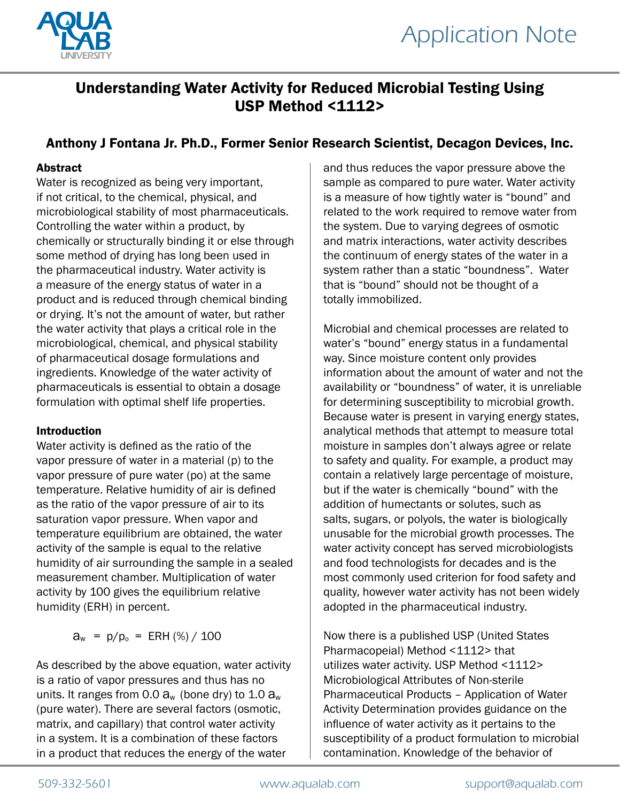

# Understanding Water Activity for Reduced Microbial Testing Using USP Method <1112>

# Anthony J Fontana Jr. Ph.D., Former Senior Research Scientist, Decagon Devices, Inc.

## Abstract

Water is recognized as being very important, if not critical, to the chemical, physical, and microbiological stability of most pharmaceuticals. Controlling the water within a product, by chemically or structurally binding it or else through some method of drying has long been used in the pharmaceutical industry. Water activity is a measure of the energy status of water in a product and is reduced through chemical binding or drying. It's not the amount of water, but rather the water activity that plays a critical role in the microbiological, chemical, and physical stability of pharmaceutical dosage formulations and ingredients. Knowledge of the water activity of pharmaceuticals is essential to obtain a dosage formulation with optimal shelf life properties.

#### Introduction

Water activity is defined as the ratio of the vapor pressure of water in a material (p) to the vapor pressure of pure water (po) at the same temperature. Relative humidity of air is defined as the ratio of the vapor pressure of air to its saturation vapor pressure. When vapor and temperature equilibrium are obtained, the water activity of the sample is equal to the relative humidity of air surrounding the sample in a sealed measurement chamber. Multiplication of water activity by 100 gives the equilibrium relative humidity (ERH) in percent.

 $a_w = p/p_0 = ERH$  (%) / 100

As described by the above equation, water activity is a ratio of vapor pressures and thus has no units. It ranges from 0.0  $a_w$  (bone dry) to 1.0  $a_w$ (pure water). There are several factors (osmotic, matrix, and capillary) that control water activity in a system. It is a combination of these factors in a product that reduces the energy of the water

and thus reduces the vapor pressure above the sample as compared to pure water. Water activity is a measure of how tightly water is "bound" and related to the work required to remove water from the system. Due to varying degrees of osmotic and matrix interactions, water activity describes the continuum of energy states of the water in a system rather than a static "boundness". Water that is "bound" should not be thought of a totally immobilized.

Microbial and chemical processes are related to water's "bound" energy status in a fundamental way. Since moisture content only provides information about the amount of water and not the availability or "boundness" of water, it is unreliable for determining susceptibility to microbial growth. Because water is present in varying energy states, analytical methods that attempt to measure total moisture in samples don't always agree or relate to safety and quality. For example, a product may contain a relatively large percentage of moisture, but if the water is chemically "bound" with the addition of humectants or solutes, such as salts, sugars, or polyols, the water is biologically unusable for the microbial growth processes. The water activity concept has served microbiologists and food technologists for decades and is the most commonly used criterion for food safety and quality, however water activity has not been widely adopted in the pharmaceutical industry.

Now there is a published USP (United States Pharmacopeial) Method <1112> that utilizes water activity. USP Method <1112> Microbiological Attributes of Non-sterile Pharmaceutical Products – Application of Water Activity Determination provides guidance on the influence of water activity as it pertains to the susceptibility of a product formulation to microbial contamination. Knowledge of the behavior of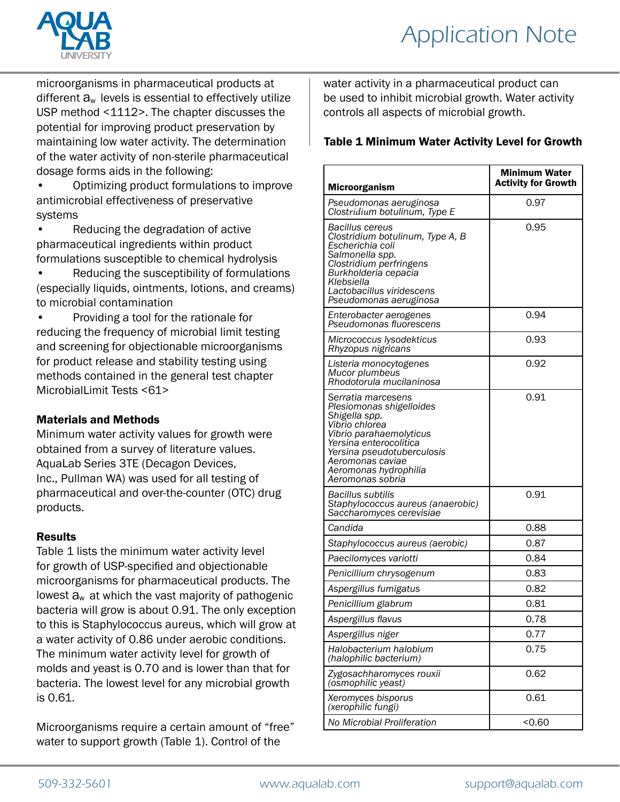

microorganisms in pharmaceutical products at different  $a_w$  levels is essential to effectively utilize USP method <1112>. The chapter discusses the potential for improving product preservation by maintaining low water activity. The determination of the water activity of non-sterile pharmaceutical dosage forms aids in the following:

• Optimizing product formulations to improve antimicrobial effectiveness of preservative systems

• Reducing the degradation of active pharmaceutical ingredients within product formulations susceptible to chemical hydrolysis

• Reducing the susceptibility of formulations (especially liquids, ointments, lotions, and creams) to microbial contamination

• Providing a tool for the rationale for reducing the frequency of microbial limit testing and screening for objectionable microorganisms for product release and stability testing using methods contained in the general test chapter MicrobialLimit Tests <61>

#### Materials and Methods

Minimum water activity values for growth were obtained from a survey of literature values. AquaLab Series 3TE (Decagon Devices, Inc., Pullman WA) was used for all testing of pharmaceutical and over-the-counter (OTC) drug products.

#### Results

Table 1 lists the minimum water activity level for growth of USP-specified and objectionable microorganisms for pharmaceutical products. The lowest  $a_w$  at which the vast majority of pathogenic bacteria will grow is about 0.91. The only exception to this is Staphylococcus aureus, which will grow at a water activity of 0.86 under aerobic conditions. The minimum water activity level for growth of molds and yeast is 0.70 and is lower than that for bacteria. The lowest level for any microbial growth is 0.61.

Microorganisms require a certain amount of "free" water to support growth (Table 1). Control of the

water activity in a pharmaceutical product can be used to inhibit microbial growth. Water activity controls all aspects of microbial growth.

### Table 1 Minimum Water Activity Level for Growth

| <b>Microorganism</b>                                                                                                                                                                                                                  | Minimum Water<br><b>Activity for Growth</b> |
|---------------------------------------------------------------------------------------------------------------------------------------------------------------------------------------------------------------------------------------|---------------------------------------------|
| Pseudomonas aeruginosa<br>Clostridium botulinum, Type E                                                                                                                                                                               | 0.97                                        |
| Bacillus cereus<br>Clostridium botulinum, Type A, B<br>Escherichia coli<br>Salmonella spp.<br>Clostridium perfringens<br>Burkholderia cepacia<br>Klebsiella<br>Lactobacillus viridescens<br>Pseudomonas aeruginosa                    | 0.95                                        |
| Enterobacter aerogenes<br>Pseudomonas fluorescens                                                                                                                                                                                     | 0.94                                        |
| Micrococcus lysodekticus<br>Rhyzopus nigricans                                                                                                                                                                                        | 0.93                                        |
| Listeria monocytogenes<br>Mucor plumbeus<br>Rhodotorula mucilaninosa                                                                                                                                                                  | 0.92                                        |
| Serratia marcesens<br>Plesiomonas shigelloides<br>Shigella spp.<br>Vibrio chlorea<br>Vibrio parahaemolyticus<br>Yersina enterocolitica<br>Yersina pseudotuberculosis<br>Aeromonas caviae<br>Aeromonas hydrophilia<br>Aeromonas sobria | 0.91                                        |
| Bacillus subtilis<br>Staphylococcus aureus (anaerobic)<br>Saccharomyces cerevisiae                                                                                                                                                    | 0.91                                        |
| Candida                                                                                                                                                                                                                               | 0.88                                        |
| Staphylococcus aureus (aerobic)                                                                                                                                                                                                       | 0.87                                        |
| Paecilomyces variotti                                                                                                                                                                                                                 | 0.84                                        |
| Penicillium chrysogenum                                                                                                                                                                                                               | 0.83                                        |
| Aspergillus fumigatus                                                                                                                                                                                                                 | 0.82                                        |
| Penicillium glabrum                                                                                                                                                                                                                   | 0.81                                        |
| Aspergillus flavus                                                                                                                                                                                                                    | 0.78                                        |
| Aspergillus niger                                                                                                                                                                                                                     | 0.77                                        |
| Halobacterium halobium<br>(halophilic bacterium)                                                                                                                                                                                      | 0.75                                        |
| Zygosachharomyces rouxii<br>(osmophilic yeast)                                                                                                                                                                                        | 0.62                                        |
| Xeromyces bisporus<br>(xerophilic fungi)                                                                                                                                                                                              | 0.61                                        |
| No Microbial Proliferation                                                                                                                                                                                                            | <0.60                                       |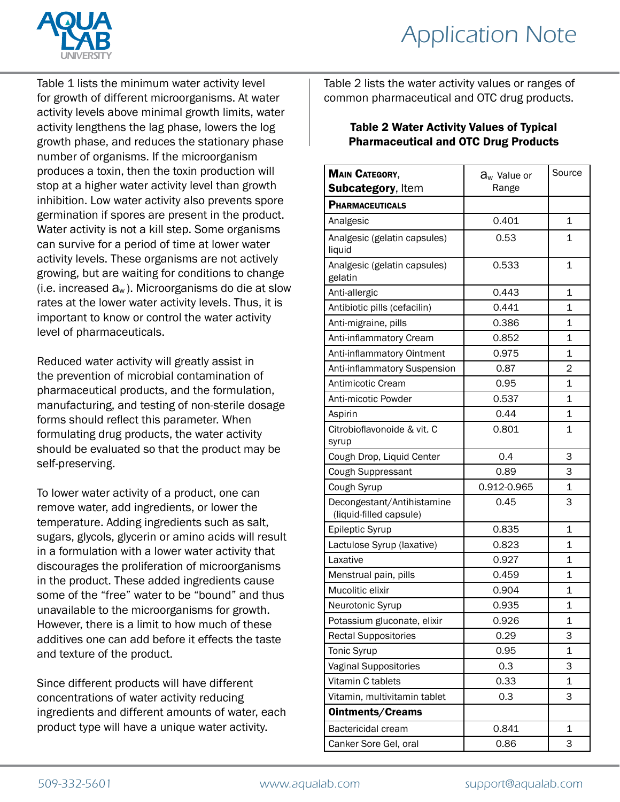

Table 1 lists the minimum water activity level for growth of different microorganisms. At water activity levels above minimal growth limits, water activity lengthens the lag phase, lowers the log growth phase, and reduces the stationary phase number of organisms. If the microorganism produces a toxin, then the toxin production will stop at a higher water activity level than growth inhibition. Low water activity also prevents spore germination if spores are present in the product. Water activity is not a kill step. Some organisms can survive for a period of time at lower water activity levels. These organisms are not actively growing, but are waiting for conditions to change (i.e. increased  $a_w$ ). Microorganisms do die at slow rates at the lower water activity levels. Thus, it is important to know or control the water activity level of pharmaceuticals.

Reduced water activity will greatly assist in the prevention of microbial contamination of pharmaceutical products, and the formulation, manufacturing, and testing of non-sterile dosage forms should reflect this parameter. When formulating drug products, the water activity should be evaluated so that the product may be self-preserving.

To lower water activity of a product, one can remove water, add ingredients, or lower the temperature. Adding ingredients such as salt, sugars, glycols, glycerin or amino acids will result in a formulation with a lower water activity that discourages the proliferation of microorganisms in the product. These added ingredients cause some of the "free" water to be "bound" and thus unavailable to the microorganisms for growth. However, there is a limit to how much of these additives one can add before it effects the taste and texture of the product.

Since different products will have different concentrations of water activity reducing ingredients and different amounts of water, each product type will have a unique water activity.

Table 2 lists the water activity values or ranges of common pharmaceutical and OTC drug products.

#### Table 2 Water Activity Values of Typical Pharmaceutical and OTC Drug Products

| <b>MAIN CATEGORY,</b>                                 | $a_w$ Value or | Source         |
|-------------------------------------------------------|----------------|----------------|
| <b>Subcategory, Item</b>                              | Range          |                |
| <b>PHARMACEUTICALS</b>                                |                |                |
| Analgesic                                             | 0.401          | $\mathbf 1$    |
| Analgesic (gelatin capsules)<br>liquid                | 0.53           | $\mathbf{1}$   |
| Analgesic (gelatin capsules)<br>gelatin               | 0.533          | $\mathbf 1$    |
| Anti-allergic                                         | 0.443          | 1              |
| Antibiotic pills (cefacilin)                          | 0.441          | $\mathbf{1}$   |
| Anti-migraine, pills                                  | 0.386          | 1              |
| Anti-inflammatory Cream                               | 0.852          | 1              |
| Anti-inflammatory Ointment                            | 0.975          | 1              |
| Anti-inflammatory Suspension                          | 0.87           | $\overline{2}$ |
| Antimicotic Cream                                     | 0.95           | $\mathbf 1$    |
| Anti-micotic Powder                                   | 0.537          | 1              |
| Aspirin                                               | 0.44           | 1              |
| Citrobioflavonoide & vit. C                           | 0.801          | 1              |
| syrup                                                 |                |                |
| Cough Drop, Liquid Center                             | 0.4            | 3              |
| Cough Suppressant                                     | 0.89           | 3              |
| Cough Syrup                                           | 0.912-0.965    | $\mathbf 1$    |
| Decongestant/Antihistamine<br>(liquid-filled capsule) | 0.45           | 3              |
| Epileptic Syrup                                       | 0.835          | 1              |
| Lactulose Syrup (laxative)                            | 0.823          | 1              |
| Laxative                                              | 0.927          | 1              |
| Menstrual pain, pills                                 | 0.459          | 1              |
| Mucolitic elixir                                      | 0.904          | 1              |
| Neurotonic Syrup                                      | 0.935          | 1              |
| Potassium gluconate, elixir                           | 0.926          | 1              |
| <b>Rectal Suppositories</b>                           | 0.29           | 3              |
| Tonic Syrup                                           | 0.95           | 1              |
| <b>Vaginal Suppositories</b>                          | 0.3            | 3              |
| Vitamin C tablets                                     | 0.33           | 1              |
| Vitamin, multivitamin tablet                          | 0.3            | 3              |
| <b>Ointments/Creams</b>                               |                |                |
| Bactericidal cream                                    | 0.841          | 1              |
| Canker Sore Gel, oral                                 | 0.86           | 3              |